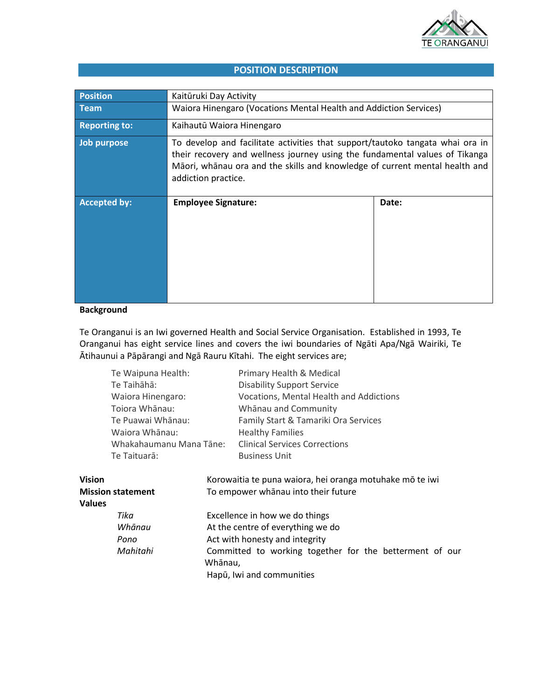

# **POSITION DESCRIPTION**

| <b>Position</b>      | Kaitūruki Day Activity                                                                                                                                                                                                                                             |       |  |
|----------------------|--------------------------------------------------------------------------------------------------------------------------------------------------------------------------------------------------------------------------------------------------------------------|-------|--|
| <b>Team</b>          | Waiora Hinengaro (Vocations Mental Health and Addiction Services)                                                                                                                                                                                                  |       |  |
| <b>Reporting to:</b> | Kaihautū Waiora Hinengaro                                                                                                                                                                                                                                          |       |  |
| Job purpose          | To develop and facilitate activities that support/tautoko tangata whai ora in<br>their recovery and wellness journey using the fundamental values of Tikanga<br>Māori, whānau ora and the skills and knowledge of current mental health and<br>addiction practice. |       |  |
| <b>Accepted by:</b>  | <b>Employee Signature:</b>                                                                                                                                                                                                                                         | Date: |  |

# **Background**

Te Oranganui is an Iwi governed Health and Social Service Organisation. Established in 1993, Te Oranganui has eight service lines and covers the iwi boundaries of Ngāti Apa/Ngā Wairiki, Te Ātihaunui a Pāpārangi and Ngā Rauru Kītahi. The eight services are;

|                                           | Te Waipuna Health:<br>Te Taihāhā:<br>Waiora Hinengaro:<br>Toiora Whānau:<br>Te Puawai Whānau:<br>Waiora Whānau:<br>Whakahaumanu Mana Tāne:<br>Te Taituarā: |         | Primary Health & Medical<br><b>Disability Support Service</b><br>Vocations, Mental Health and Addictions<br>Whānau and Community<br>Family Start & Tamariki Ora Services<br><b>Healthy Families</b><br><b>Clinical Services Corrections</b><br><b>Business Unit</b> |  |  |
|-------------------------------------------|------------------------------------------------------------------------------------------------------------------------------------------------------------|---------|---------------------------------------------------------------------------------------------------------------------------------------------------------------------------------------------------------------------------------------------------------------------|--|--|
| <b>Vision</b><br><b>Mission statement</b> |                                                                                                                                                            |         | Korowaitia te puna waiora, hei oranga motuhake mō te iwi<br>To empower whānau into their future                                                                                                                                                                     |  |  |
| <b>Values</b>                             |                                                                                                                                                            |         |                                                                                                                                                                                                                                                                     |  |  |
| Tika<br>Whānau                            |                                                                                                                                                            |         | Excellence in how we do things                                                                                                                                                                                                                                      |  |  |
|                                           |                                                                                                                                                            |         | At the centre of everything we do                                                                                                                                                                                                                                   |  |  |
|                                           | Act with honesty and integrity<br>Pono                                                                                                                     |         |                                                                                                                                                                                                                                                                     |  |  |
|                                           | Mahitahi                                                                                                                                                   | Whānau, | Committed to working together for the betterment of our<br>Hapū, Iwi and communities                                                                                                                                                                                |  |  |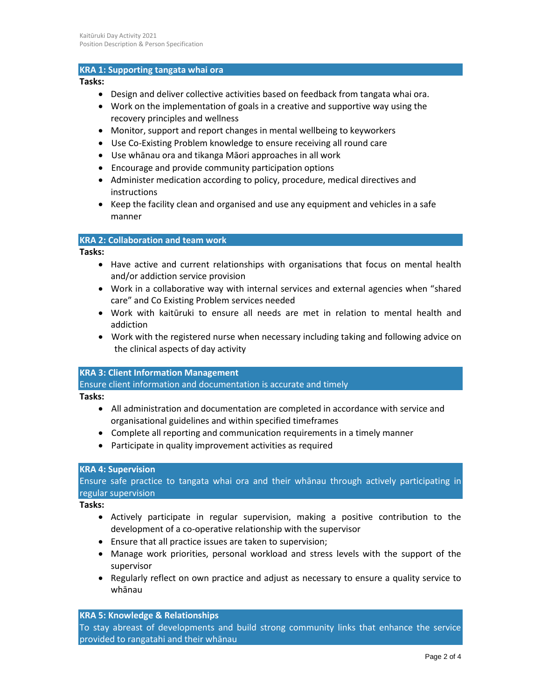## **KRA 1: Supporting tangata whai ora**

#### **Tasks:**

- Design and deliver collective activities based on feedback from tangata whai ora.
- Work on the implementation of goals in a creative and supportive way using the recovery principles and wellness
- Monitor, support and report changes in mental wellbeing to keyworkers
- Use Co-Existing Problem knowledge to ensure receiving all round care
- Use whānau ora and tikanga Māori approaches in all work
- Encourage and provide community participation options
- Administer medication according to policy, procedure, medical directives and instructions
- Keep the facility clean and organised and use any equipment and vehicles in a safe manner

## **KRA 2: Collaboration and team work**

#### **Tasks:**

- Have active and current relationships with organisations that focus on mental health and/or addiction service provision
- Work in a collaborative way with internal services and external agencies when "shared care" and Co Existing Problem services needed
- Work with kaitūruki to ensure all needs are met in relation to mental health and addiction
- Work with the registered nurse when necessary including taking and following advice on the clinical aspects of day activity

### **KRA 3: Client Information Management**

Ensure client information and documentation is accurate and timely

### **Tasks:**

- All administration and documentation are completed in accordance with service and organisational guidelines and within specified timeframes
- Complete all reporting and communication requirements in a timely manner
- Participate in quality improvement activities as required

### **KRA 4: Supervision**

Ensure safe practice to tangata whai ora and their whānau through actively participating in regular supervision

**Tasks:**

- Actively participate in regular supervision, making a positive contribution to the development of a co-operative relationship with the supervisor
- Ensure that all practice issues are taken to supervision;
- Manage work priorities, personal workload and stress levels with the support of the supervisor
- Regularly reflect on own practice and adjust as necessary to ensure a quality service to whānau

### **KRA 5: Knowledge & Relationships**

To stay abreast of developments and build strong community links that enhance the service provided to rangatahi and their whānau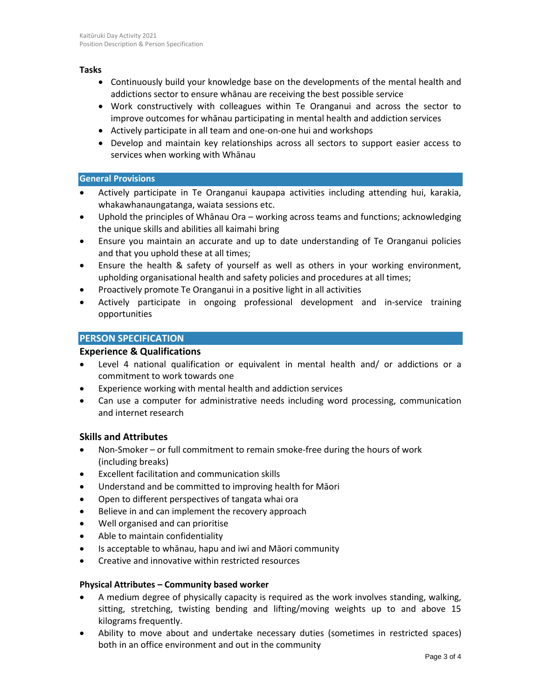### **Tasks**

- Continuously build your knowledge base on the developments of the mental health and addictions sector to ensure whānau are receiving the best possible service
- Work constructively with colleagues within Te Oranganui and across the sector to improve outcomes for whānau participating in mental health and addiction services
- Actively participate in all team and one-on-one hui and workshops
- Develop and maintain key relationships across all sectors to support easier access to services when working with Whānau

## **General Provisions**

- Actively participate in Te Oranganui kaupapa activities including attending hui, karakia, whakawhanaungatanga, waiata sessions etc.
- Uphold the principles of Whānau Ora working across teams and functions; acknowledging the unique skills and abilities all kaimahi bring
- Ensure you maintain an accurate and up to date understanding of Te Oranganui policies and that you uphold these at all times;
- Ensure the health & safety of yourself as well as others in your working environment, upholding organisational health and safety policies and procedures at all times;
- Proactively promote Te Oranganui in a positive light in all activities
- Actively participate in ongoing professional development and in-service training opportunities

# **PERSON SPECIFICATION**

# **Experience & Qualifications**

- Level 4 national qualification or equivalent in mental health and/ or addictions or a commitment to work towards one
- Experience working with mental health and addiction services
- Can use a computer for administrative needs including word processing, communication and internet research

# **Skills and Attributes**

- Non-Smoker or full commitment to remain smoke-free during the hours of work (including breaks)
- Excellent facilitation and communication skills
- Understand and be committed to improving health for Māori
- Open to different perspectives of tangata whai ora
- Believe in and can implement the recovery approach
- Well organised and can prioritise
- Able to maintain confidentiality
- Is acceptable to whānau, hapu and iwi and Māori community
- Creative and innovative within restricted resources

### **Physical Attributes – Community based worker**

- A medium degree of physically capacity is required as the work involves standing, walking, sitting, stretching, twisting bending and lifting/moving weights up to and above 15 kilograms frequently.
- Ability to move about and undertake necessary duties (sometimes in restricted spaces) both in an office environment and out in the community